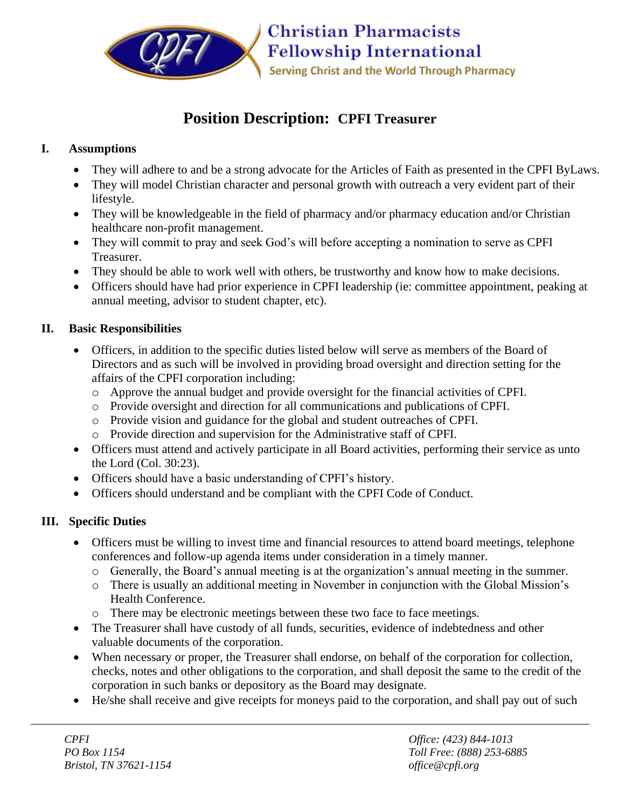

# **Position Description: CPFI Treasurer**

## **I. Assumptions**

- They will adhere to and be a strong advocate for the Articles of Faith as presented in the CPFI ByLaws.
- They will model Christian character and personal growth with outreach a very evident part of their lifestyle.
- They will be knowledgeable in the field of pharmacy and/or pharmacy education and/or Christian healthcare non-profit management.
- They will commit to pray and seek God's will before accepting a nomination to serve as CPFI Treasurer.
- They should be able to work well with others, be trustworthy and know how to make decisions.
- Officers should have had prior experience in CPFI leadership (ie: committee appointment, peaking at annual meeting, advisor to student chapter, etc).

### **II. Basic Responsibilities**

- Officers, in addition to the specific duties listed below will serve as members of the Board of Directors and as such will be involved in providing broad oversight and direction setting for the affairs of the CPFI corporation including:
	- o Approve the annual budget and provide oversight for the financial activities of CPFI.
	- o Provide oversight and direction for all communications and publications of CPFI.
	- o Provide vision and guidance for the global and student outreaches of CPFI.
	- o Provide direction and supervision for the Administrative staff of CPFI.
- Officers must attend and actively participate in all Board activities, performing their service as unto the Lord (Col. 30:23).
- Officers should have a basic understanding of CPFI's history.
- Officers should understand and be compliant with the CPFI Code of Conduct.

## **III. Specific Duties**

- Officers must be willing to invest time and financial resources to attend board meetings, telephone conferences and follow-up agenda items under consideration in a timely manner.
	- o Generally, the Board's annual meeting is at the organization's annual meeting in the summer.
	- o There is usually an additional meeting in November in conjunction with the Global Mission's Health Conference.
	- o There may be electronic meetings between these two face to face meetings.
- The Treasurer shall have custody of all funds, securities, evidence of indebtedness and other valuable documents of the corporation.
- When necessary or proper, the Treasurer shall endorse, on behalf of the corporation for collection, checks, notes and other obligations to the corporation, and shall deposit the same to the credit of the corporation in such banks or depository as the Board may designate.
- He/she shall receive and give receipts for moneys paid to the corporation, and shall pay out of such